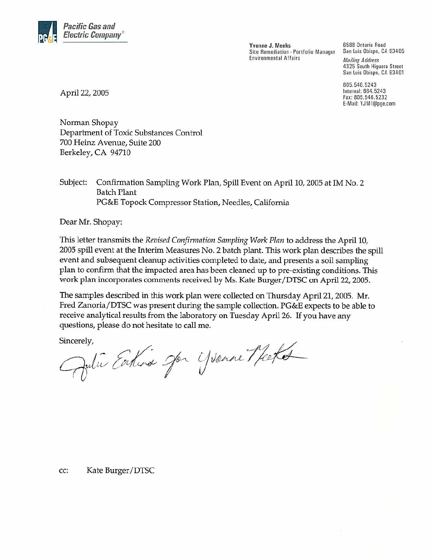

Yvonne J. Meeks Site Remediation - Portfolio Manager **Environmental Affairs** 

6588 Ontario Road San Luis Obispo, CA 93405 **Mailing Address** 4325 South Higuera Street San Luis Obispo, CA 93401

805.546.5243 Internal: 664.5243 Fax: 805.546.5232 E-Mail: YJM1@pge.com

April 22, 2005

Norman Shopay Department of Toxic Substances Control 700 Heinz Avenue, Suite 200 Berkeley, CA 94710

Subject: Confirmation Sampling Work Plan, Spill Event on April 10, 2005 at IM No. 2 Batch Plant PG&E Topock Compressor Station, Needles, California

Dear Mr. Shopay:

This letter transmits the Revised Confirmation Sampling Work Plan to address the April 10, 2005 spill event at the Interim Measures No. 2 batch plant. This work plan describes the spill event and subsequent cleanup activities completed to date, and presents a soil sampling plan to confirm that the impacted area has been cleaned up to pre-existing conditions. This work plan incorporates comments received by Ms. Kate Burger/DTSC on April 22, 2005.

The samples described in this work plan were collected on Thursday April 21, 2005. Mr. Fred Zanoria/DTSC was present during the sample collection. PG&E expects to be able to receive analytical results from the laboratory on Tuesday April 26. If you have any questions, please do not hesitate to call me.

Sincerely,

Pulie Earline Jon Yvenne Meet

CC: Kate Burger/DTSC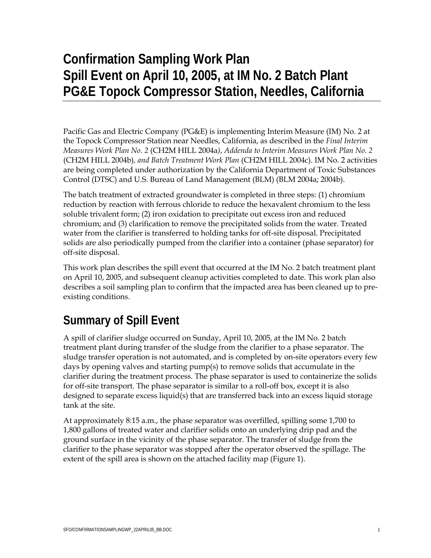## **Confirmation Sampling Work Plan Spill Event on April 10, 2005, at IM No. 2 Batch Plant PG&E Topock Compressor Station, Needles, California**

Pacific Gas and Electric Company (PG&E) is implementing Interim Measure (IM) No. 2 at the Topock Compressor Station near Needles, California, as described in the *Final Interim Measures Work Plan No. 2* (CH2M HILL 2004a*)*, *Addenda to Interim Measures Work Plan No. 2*  (CH2M HILL 2004b)*, and Batch Treatment Work Plan* (CH2M HILL 2004c). IM No. 2 activities are being completed under authorization by the California Department of Toxic Substances Control (DTSC) and U.S. Bureau of Land Management (BLM) (BLM 2004a; 2004b).

The batch treatment of extracted groundwater is completed in three steps: (1) chromium reduction by reaction with ferrous chloride to reduce the hexavalent chromium to the less soluble trivalent form; (2) iron oxidation to precipitate out excess iron and reduced chromium; and (3) clarification to remove the precipitated solids from the water. Treated water from the clarifier is transferred to holding tanks for off-site disposal. Precipitated solids are also periodically pumped from the clarifier into a container (phase separator) for off-site disposal.

This work plan describes the spill event that occurred at the IM No. 2 batch treatment plant on April 10, 2005, and subsequent cleanup activities completed to date. This work plan also describes a soil sampling plan to confirm that the impacted area has been cleaned up to preexisting conditions.

## **Summary of Spill Event**

A spill of clarifier sludge occurred on Sunday, April 10, 2005, at the IM No. 2 batch treatment plant during transfer of the sludge from the clarifier to a phase separator. The sludge transfer operation is not automated, and is completed by on-site operators every few days by opening valves and starting pump(s) to remove solids that accumulate in the clarifier during the treatment process. The phase separator is used to containerize the solids for off-site transport. The phase separator is similar to a roll-off box, except it is also designed to separate excess liquid(s) that are transferred back into an excess liquid storage tank at the site.

At approximately 8:15 a.m., the phase separator was overfilled, spilling some 1,700 to 1,800 gallons of treated water and clarifier solids onto an underlying drip pad and the ground surface in the vicinity of the phase separator. The transfer of sludge from the clarifier to the phase separator was stopped after the operator observed the spillage. The extent of the spill area is shown on the attached facility map (Figure 1).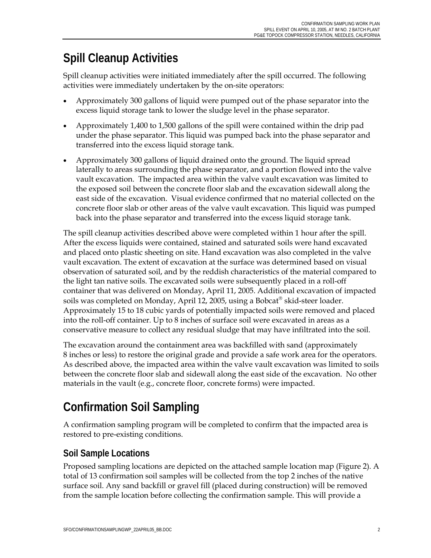## **Spill Cleanup Activities**

Spill cleanup activities were initiated immediately after the spill occurred. The following activities were immediately undertaken by the on-site operators:

- Approximately 300 gallons of liquid were pumped out of the phase separator into the excess liquid storage tank to lower the sludge level in the phase separator.
- Approximately 1,400 to 1,500 gallons of the spill were contained within the drip pad under the phase separator. This liquid was pumped back into the phase separator and transferred into the excess liquid storage tank.
- Approximately 300 gallons of liquid drained onto the ground. The liquid spread laterally to areas surrounding the phase separator, and a portion flowed into the valve vault excavation. The impacted area within the valve vault excavation was limited to the exposed soil between the concrete floor slab and the excavation sidewall along the east side of the excavation. Visual evidence confirmed that no material collected on the concrete floor slab or other areas of the valve vault excavation. This liquid was pumped back into the phase separator and transferred into the excess liquid storage tank.

The spill cleanup activities described above were completed within 1 hour after the spill. After the excess liquids were contained, stained and saturated soils were hand excavated and placed onto plastic sheeting on site. Hand excavation was also completed in the valve vault excavation. The extent of excavation at the surface was determined based on visual observation of saturated soil, and by the reddish characteristics of the material compared to the light tan native soils. The excavated soils were subsequently placed in a roll-off container that was delivered on Monday, April 11, 2005. Additional excavation of impacted soils was completed on Monday, April 12, 2005, using a Bobcat® skid-steer loader. Approximately 15 to 18 cubic yards of potentially impacted soils were removed and placed into the roll-off container. Up to 8 inches of surface soil were excavated in areas as a conservative measure to collect any residual sludge that may have infiltrated into the soil.

The excavation around the containment area was backfilled with sand (approximately 8 inches or less) to restore the original grade and provide a safe work area for the operators. As described above, the impacted area within the valve vault excavation was limited to soils between the concrete floor slab and sidewall along the east side of the excavation. No other materials in the vault (e.g., concrete floor, concrete forms) were impacted.

## **Confirmation Soil Sampling**

A confirmation sampling program will be completed to confirm that the impacted area is restored to pre-existing conditions.

#### **Soil Sample Locations**

Proposed sampling locations are depicted on the attached sample location map (Figure 2). A total of 13 confirmation soil samples will be collected from the top 2 inches of the native surface soil. Any sand backfill or gravel fill (placed during construction) will be removed from the sample location before collecting the confirmation sample. This will provide a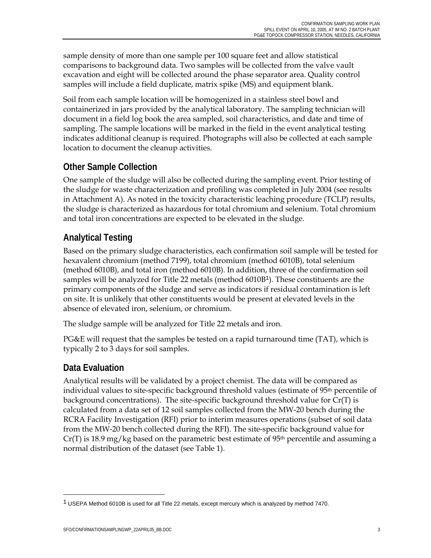sample density of more than one sample per 100 square feet and allow statistical comparisons to background data. Two samples will be collected from the valve vault excavation and eight will be collected around the phase separator area. Quality control samples will include a field duplicate, matrix spike (MS) and equipment blank.

Soil from each sample location will be homogenized in a stainless steel bowl and containerized in jars provided by the analytical laboratory. The sampling technician will document in a field log book the area sampled, soil characteristics, and date and time of sampling. The sample locations will be marked in the field in the event analytical testing indicates additional cleanup is required. Photographs will also be collected at each sample location to document the cleanup activities.

#### **Other Sample Collection**

One sample of the sludge will also be collected during the sampling event. Prior testing of the sludge for waste characterization and profiling was completed in July 2004 (see results in Attachment A). As noted in the toxicity characteristic leaching procedure (TCLP) results, the sludge is characterized as hazardous for total chromium and selenium. Total chromium and total iron concentrations are expected to be elevated in the sludge.

#### **Analytical Testing**

Based on the primary sludge characteristics, each confirmation soil sample will be tested for hexavalent chromium (method 7199), total chromium (method 6010B), total selenium (method 6010B), and total iron (method 6010B). In addition, three of the confirmation soil samples will be analyzed for Title 22 metals (method 6010B1). These constituents are the primary components of the sludge and serve as indicators if residual contamination is left on site. It is unlikely that other constituents would be present at elevated levels in the absence of elevated iron, selenium, or chromium.

The sludge sample will be analyzed for Title 22 metals and iron.

PG&E will request that the samples be tested on a rapid turnaround time (TAT), which is typically 2 to 3 days for soil samples.

#### **Data Evaluation**

<u>.</u>

Analytical results will be validated by a project chemist. The data will be compared as individual values to site-specific background threshold values (estimate of 95<sup>th</sup> percentile of background concentrations). The site-specific background threshold value for Cr(T) is calculated from a data set of 12 soil samples collected from the MW-20 bench during the RCRA Facility Investigation (RFI) prior to interim measures operations (subset of soil data from the MW-20 bench collected during the RFI). The site-specific background value for  $Cr(T)$  is 18.9 mg/kg based on the parametric best estimate of 95<sup>th</sup> percentile and assuming a normal distribution of the dataset (see Table 1).

<sup>1</sup> USEPA Method 6010B is used for all Title 22 metals, except mercury which is analyzed by method 7470.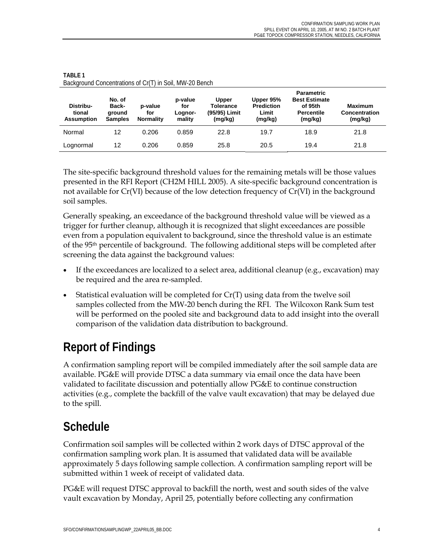| Distribu-<br>tional<br><b>Assumption</b> | No. of<br>Back-<br>ground<br><b>Samples</b> | p-value<br>for<br><b>Normality</b> | p-value<br>for<br>Lognor-<br>mality | <b>Upper</b><br><b>Tolerance</b><br>(95/95) Limit<br>(mg/kg) | Upper 95%<br><b>Prediction</b><br>Limit<br>(mg/kg) | <b>Parametric</b><br><b>Best Estimate</b><br>of 95th<br><b>Percentile</b><br>(mg/kg) | <b>Maximum</b><br>Concentration<br>(mg/kg) |
|------------------------------------------|---------------------------------------------|------------------------------------|-------------------------------------|--------------------------------------------------------------|----------------------------------------------------|--------------------------------------------------------------------------------------|--------------------------------------------|
| Normal                                   | 12                                          | 0.206                              | 0.859                               | 22.8                                                         | 19.7                                               | 18.9                                                                                 | 21.8                                       |
| Lognormal                                | 12                                          | 0.206                              | 0.859                               | 25.8                                                         | 20.5                                               | 19.4                                                                                 | 21.8                                       |

**TABLE 1**  Background Concentrations of Cr(T) in Soil, MW-20 Bench

The site-specific background threshold values for the remaining metals will be those values presented in the RFI Report (CH2M HILL 2005). A site-specific background concentration is not available for Cr(VI) because of the low detection frequency of Cr(VI) in the background soil samples.

Generally speaking, an exceedance of the background threshold value will be viewed as a trigger for further cleanup, although it is recognized that slight exceedances are possible even from a population equivalent to background, since the threshold value is an estimate of the 95th percentile of background. The following additional steps will be completed after screening the data against the background values:

- If the exceedances are localized to a select area, additional cleanup (e.g., excavation) may be required and the area re-sampled.
- Statistical evaluation will be completed for  $Cr(T)$  using data from the twelve soil samples collected from the MW-20 bench during the RFI. The Wilcoxon Rank Sum test will be performed on the pooled site and background data to add insight into the overall comparison of the validation data distribution to background.

## **Report of Findings**

A confirmation sampling report will be compiled immediately after the soil sample data are available. PG&E will provide DTSC a data summary via email once the data have been validated to facilitate discussion and potentially allow PG&E to continue construction activities (e.g., complete the backfill of the valve vault excavation) that may be delayed due to the spill.

## **Schedule**

Confirmation soil samples will be collected within 2 work days of DTSC approval of the confirmation sampling work plan. It is assumed that validated data will be available approximately 5 days following sample collection. A confirmation sampling report will be submitted within 1 week of receipt of validated data.

PG&E will request DTSC approval to backfill the north, west and south sides of the valve vault excavation by Monday, April 25, potentially before collecting any confirmation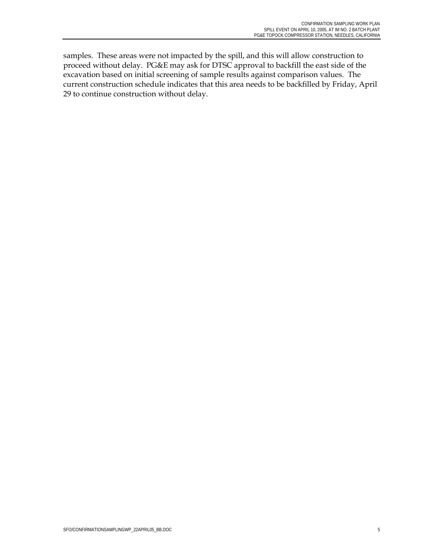samples. These areas were not impacted by the spill, and this will allow construction to proceed without delay. PG&E may ask for DTSC approval to backfill the east side of the excavation based on initial screening of sample results against comparison values. The current construction schedule indicates that this area needs to be backfilled by Friday, April 29 to continue construction without delay.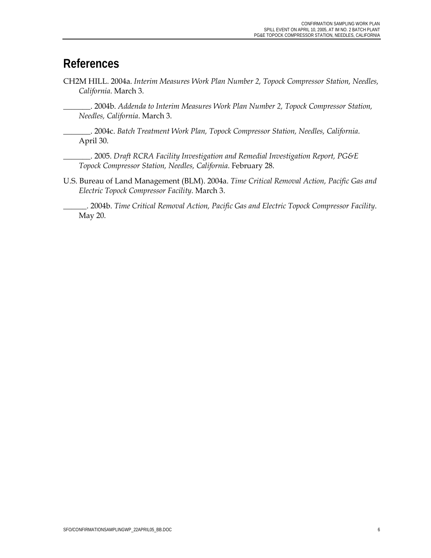#### **References**

CH2M HILL. 2004a. *Interim Measures Work Plan Number 2, Topock Compressor Station, Needles, California*. March 3.

\_\_\_\_\_\_\_. 2004b. *Addenda to Interim Measures Work Plan Number 2, Topock Compressor Station, Needles, California*. March 3.

\_\_\_\_\_\_\_. 2004c. *Batch Treatment Work Plan, Topock Compressor Station, Needles, California*. April 30.

\_\_\_\_\_\_\_. 2005. *Draft RCRA Facility Investigation and Remedial Investigation Report, PG&E Topock Compressor Station, Needles, California*. February 28.

U.S. Bureau of Land Management (BLM). 2004a. *Time Critical Removal Action, Pacific Gas and Electric Topock Compressor Facility*. March 3.

\_\_\_\_\_\_. 2004b. *Time Critical Removal Action, Pacific Gas and Electric Topock Compressor Facility*. May 20.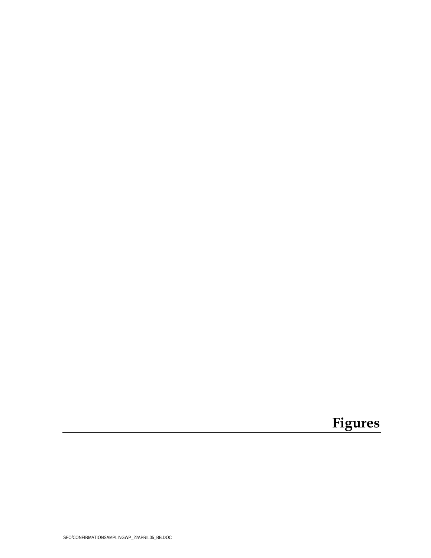# Figures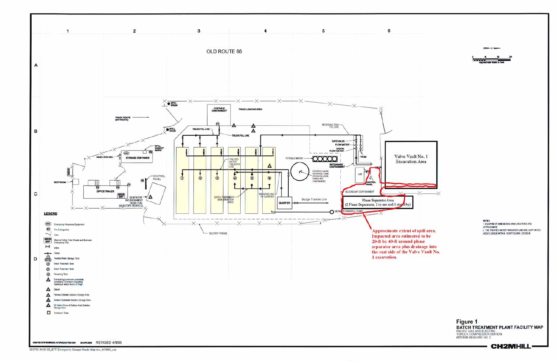

320703.IM 03.00\_BTF Emergency Escape Route Map-rev\_4/19/05\_ccc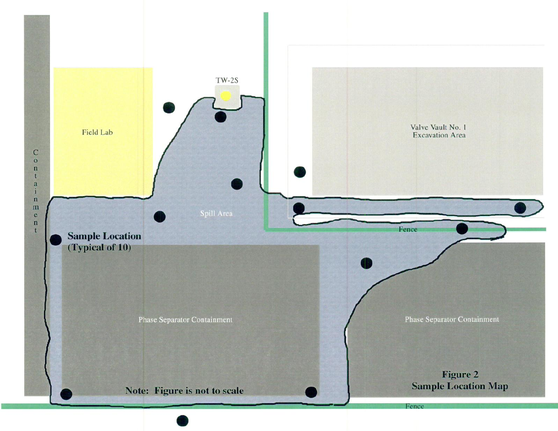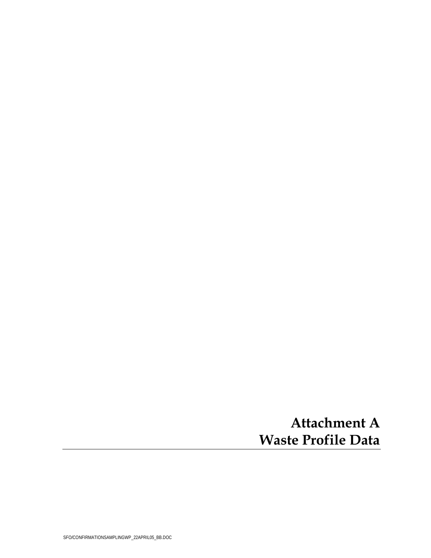## **Attachment A Waste Profile Data**